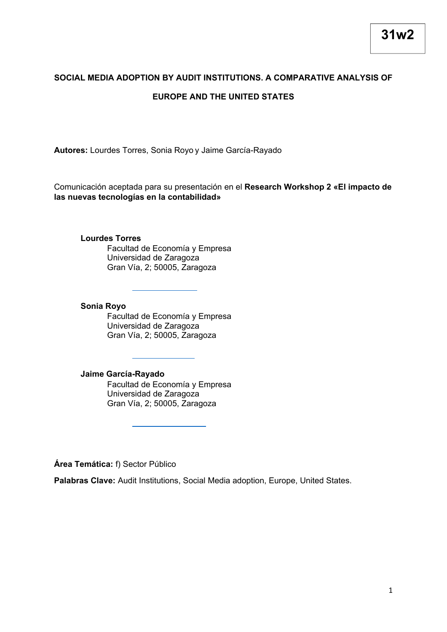# **SOCIAL MEDIA ADOPTION BY AUDIT INSTITUTIONS. A COMPARATIVE ANALYSIS OF EUROPE AND THE UNITED STATES**

**Autores:** Lourdes Torres, Sonia Royo y Jaime García-Rayado

Comunicación aceptada para su presentación en el **Research Workshop 2 «El impacto de las nuevas tecnologías en la contabilidad»**

#### **Lourdes Torres**

Facultad de Economía y Empresa Universidad de Zaragoza Gran Vía, 2; 50005, Zaragoza

#### **Sonia Royo**

Facultad de Economía y Empresa Universidad de Zaragoza Gran Vía, 2; 50005, Zaragoza

## **Jaime García-Rayado**

Facultad de Economía y Empresa Universidad de Zaragoza Gran Vía, 2; 50005, Zaragoza

**Área Temática:** f) Sector Público

**Palabras Clave:** Audit Institutions, Social Media adoption, Europe, United States.